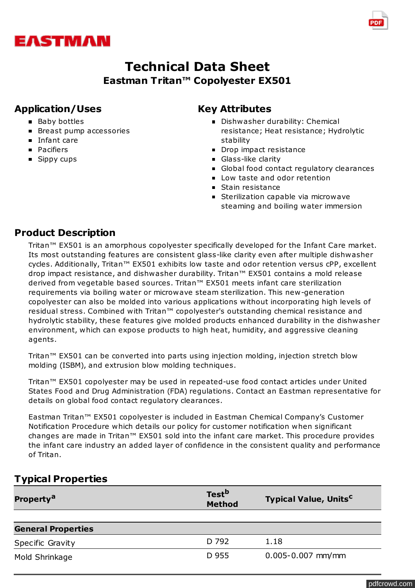

# **Technical Data Sheet Eastman Tritan™ Copolyester EX501**

# **Application/Uses**

- Baby bottles
- Breast pump accessories
- Infant care
- **Pacifiers**
- Sippy cups

# **Key Attributes**

- **Dishwasher durability: Chemical** resistance; Heat resistance; Hydrolytic stability
- Drop impact resistance
- Glass-like clarity
- Global food contact regulatory clearances
- **Low taste and odor retention**
- Stain resistance
- **Sterilization capable via microwave** steaming and boiling water immersion

# **Product Description**

Tritan™ EX501 is an amorphous copolyester specifically developed for the Infant Care market. Its most outstanding features are consistent glass-like clarity even after multiple dishwasher cycles. Additionally, Tritan™ EX501 exhibits low taste and odor retention versus cPP, excellent drop impact resistance, and dishwasher durability. Tritan™ EX501 contains a mold release derived from vegetable based sources. Tritan™ EX501 meets infant care sterilization requirements via boiling water or microwave steam sterilization. This new-generation copolyester can also be molded into various applications without incorporating high levels of residual stress. Combined with Tritan™ copolyester's outstanding chemical resistance and hydrolytic stability, these features give molded products enhanced durability in the dishwasher environment, which can expose products to high heat, humidity, and aggressive cleaning agents.

Tritan™ EX501 can be converted into parts using injection molding, injection stretch blow molding (ISBM), and extrusion blow molding techniques.

Tritan™ EX501 copolyester may be used in repeated-use food contact articles under United States Food and Drug Administration (FDA) regulations. Contact an Eastman representative for details on global food contact regulatory clearances.

Eastman Tritan™ EX501 copolyester is included in Eastman Chemical Company's Customer Notification Procedure which details our policy for customer notification when significant changes are made in Tritan™ EX501 sold into the infant care market. This procedure provides the infant care industry an added layer of confidence in the consistent quality and performance of Tritan.

# **Typical Properties**

| Property <sup>a</sup>     | Test <sup>b</sup><br><b>Method</b> | <b>Typical Value, Units<sup>c</sup></b> |
|---------------------------|------------------------------------|-----------------------------------------|
|                           |                                    |                                         |
| <b>General Properties</b> |                                    |                                         |
| <b>Specific Gravity</b>   | D 792                              | 1.18                                    |
| Mold Shrinkage            | D 955                              | $0.005 - 0.007$ mm/mm                   |

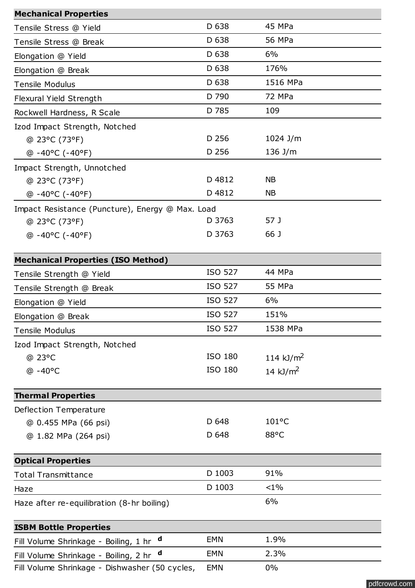| <b>Mechanical Properties</b>                         |                |                 |  |  |
|------------------------------------------------------|----------------|-----------------|--|--|
| Tensile Stress @ Yield                               | D 638          | 45 MPa          |  |  |
| Tensile Stress @ Break                               | D 638          | 56 MPa          |  |  |
| Elongation @ Yield                                   | D 638          | 6%              |  |  |
| Elongation @ Break                                   | D 638          | 176%            |  |  |
| <b>Tensile Modulus</b>                               | D 638          | 1516 MPa        |  |  |
| Flexural Yield Strength                              | D 790          | 72 MPa          |  |  |
| Rockwell Hardness, R Scale                           | D 785          | 109             |  |  |
| Izod Impact Strength, Notched                        |                |                 |  |  |
| @ 23°C (73°F)                                        | D 256          | $1024$ J/m      |  |  |
| $@ - 40°C (-40°F)$                                   | D 256          | 136 J/m         |  |  |
| Impact Strength, Unnotched                           |                |                 |  |  |
| @ 23°C (73°F)                                        | D 4812         | <b>NB</b>       |  |  |
| @ -40°C (-40°F)                                      | D 4812         | <b>NB</b>       |  |  |
| Impact Resistance (Puncture), Energy @ Max. Load     |                |                 |  |  |
| @ 23°C (73°F)                                        | D 3763         | 57 J            |  |  |
| $@ -40°C (-40°F)$                                    | D 3763         | 66 J            |  |  |
|                                                      |                |                 |  |  |
| <b>Mechanical Properties (ISO Method)</b>            | <b>ISO 527</b> | 44 MPa          |  |  |
| Tensile Strength @ Yield                             | <b>ISO 527</b> | 55 MPa          |  |  |
| Tensile Strength @ Break                             |                |                 |  |  |
| Elongation @ Yield                                   | <b>ISO 527</b> | 6%              |  |  |
| Elongation @ Break                                   | <b>ISO 527</b> | 151%            |  |  |
| <b>Tensile Modulus</b>                               | <b>ISO 527</b> | 1538 MPa        |  |  |
| Izod Impact Strength, Notched                        |                |                 |  |  |
| @ 23°C                                               | ISO 180        | 114 $kJ/m2$     |  |  |
| $@ - 40°C$                                           | ISO 180        | 14 $kJ/m2$      |  |  |
| <b>Thermal Properties</b>                            |                |                 |  |  |
| Deflection Temperature                               |                |                 |  |  |
| @ 0.455 MPa (66 psi)                                 | D 648          | $101^{\circ}$ C |  |  |
| @ 1.82 MPa (264 psi)                                 | D 648          | 88°C            |  |  |
|                                                      |                |                 |  |  |
| <b>Optical Properties</b>                            |                |                 |  |  |
| <b>Total Transmittance</b>                           | D 1003         | 91%             |  |  |
| Haze                                                 | D 1003         | $<1\%$          |  |  |
| Haze after re-equilibration (8-hr boiling)           |                | 6%              |  |  |
| <b>ISBM Bottle Properties</b>                        |                |                 |  |  |
| $\mathbf d$<br>Fill Volume Shrinkage - Boiling, 1 hr | <b>EMN</b>     | 1.9%            |  |  |
| $\mathbf d$<br>Fill Volume Shrinkage - Boiling, 2 hr | <b>EMN</b>     | 2.3%            |  |  |
| Fill Volume Shrinkage - Dishwasher (50 cycles,       | <b>EMN</b>     | $0\%$           |  |  |

[pdfcrowd.com](http://pdfcrowd.com)